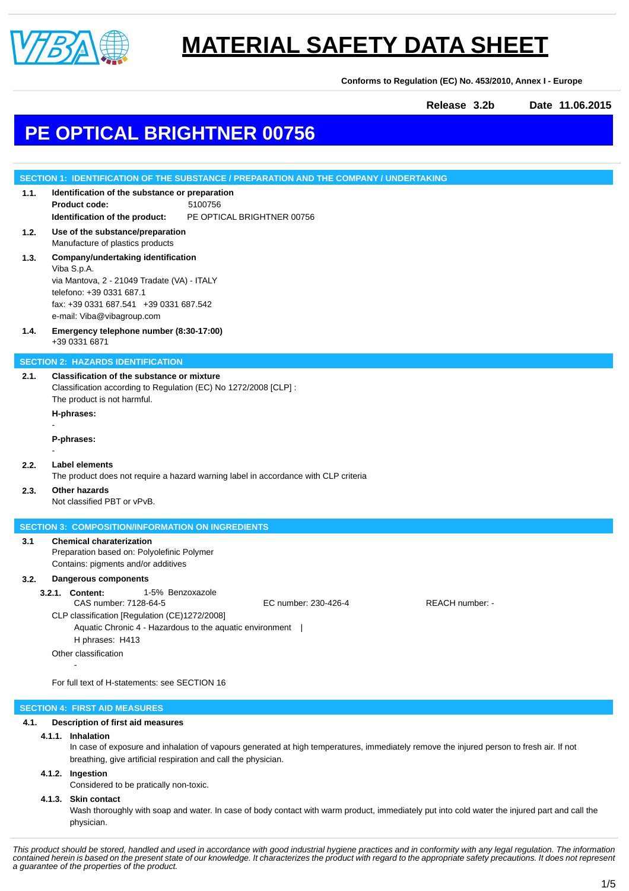

**Conforms to Regulation (EC) No. 453/2010, Annex I - Europe**

**Release 3.2b Date 11.06.2015**

### **PE OPTICAL BRIGHTNER 00756**

|      | SECTION 1: IDENTIFICATION OF THE SUBSTANCE / PREPARATION AND THE COMPANY / UNDERTAKING                                                                                                                                                                                                                             |  |  |
|------|--------------------------------------------------------------------------------------------------------------------------------------------------------------------------------------------------------------------------------------------------------------------------------------------------------------------|--|--|
| 1.1. | Identification of the substance or preparation<br><b>Product code:</b><br>5100756<br>Identification of the product:<br>PE OPTICAL BRIGHTNER 00756                                                                                                                                                                  |  |  |
| 1.2. | Use of the substance/preparation<br>Manufacture of plastics products                                                                                                                                                                                                                                               |  |  |
| 1.3. | Company/undertaking identification<br>Viba S.p.A.<br>via Mantova, 2 - 21049 Tradate (VA) - ITALY<br>telefono: +39 0331 687.1<br>fax: +39 0331 687.541 +39 0331 687.542<br>e-mail: Viba@vibagroup.com                                                                                                               |  |  |
| 1.4. | Emergency telephone number (8:30-17:00)<br>+39 0331 6871                                                                                                                                                                                                                                                           |  |  |
|      | <b>SECTION 2: HAZARDS IDENTIFICATION</b>                                                                                                                                                                                                                                                                           |  |  |
| 2.1. | Classification of the substance or mixture<br>Classification according to Regulation (EC) No 1272/2008 [CLP] :<br>The product is not harmful.<br>H-phrases:                                                                                                                                                        |  |  |
|      | P-phrases:                                                                                                                                                                                                                                                                                                         |  |  |
| 2.2. | <b>Label elements</b><br>The product does not require a hazard warning label in accordance with CLP criteria                                                                                                                                                                                                       |  |  |
| 2.3. | Other hazards<br>Not classified PBT or vPvB.                                                                                                                                                                                                                                                                       |  |  |
|      | <b>SECTION 3: COMPOSITION/INFORMATION ON INGREDIENTS</b>                                                                                                                                                                                                                                                           |  |  |
| 3.1  | <b>Chemical charaterization</b><br>Preparation based on: Polyolefinic Polymer<br>Contains: pigments and/or additives                                                                                                                                                                                               |  |  |
| 3.2. | <b>Dangerous components</b>                                                                                                                                                                                                                                                                                        |  |  |
|      | 1-5% Benzoxazole<br>3.2.1. Content:<br>CAS number: 7128-64-5<br>EC number: 230-426-4<br>REACH number: -<br>CLP classification [Regulation (CE)1272/2008]<br>Aquatic Chronic 4 - Hazardous to the aquatic environment  <br>H phrases: H413<br>Other classification<br>For full text of H-statements: see SECTION 16 |  |  |
|      |                                                                                                                                                                                                                                                                                                                    |  |  |
|      | <b>SECTION 4: FIRST AID MEASURES</b>                                                                                                                                                                                                                                                                               |  |  |

### **4.1. Description of first aid measures**

**4.1.1. Inhalation**

In case of exposure and inhalation of vapours generated at high temperatures, immediately remove the injured person to fresh air. If not breathing, give artificial respiration and call the physician.

### **4.1.2. Ingestion**

Considered to be pratically non-toxic.

### **4.1.3. Skin contact**

Wash thoroughly with soap and water. In case of body contact with warm product, immediately put into cold water the injured part and call the physician.

This product should be stored, handled and used in accordance with good industrial hygiene practices and in conformity with any legal regulation. The information<br>contained herein is based on the present state of our knowle *a guarantee of the properties of the product.*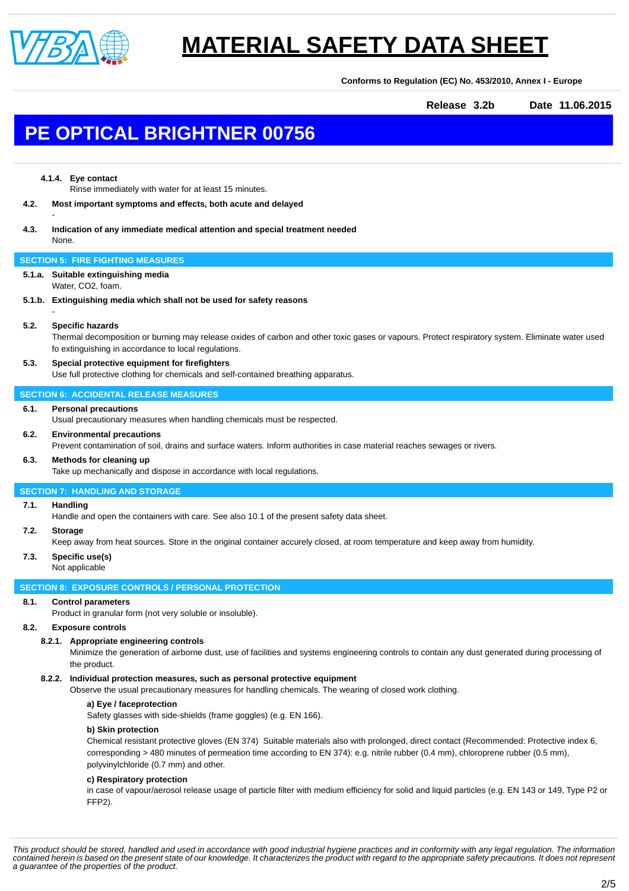

**Conforms to Regulation (EC) No. 453/2010, Annex I - Europe**

**Release 3.2b Date 11.06.2015**

### **PE OPTICAL BRIGHTNER 00756**

### **4.1.4. Eye contact**

-

-

Rinse immediately with water for at least 15 minutes.

- **4.2. Most important symptoms and effects, both acute and delayed**
- **4.3. Indication of any immediate medical attention and special treatment needed** None.

### **SECTION 5: FIRE FIGHTING MEASURES**

- **5.1.a. Suitable extinguishing media**
- Water, CO2, foam.
- **5.1.b. Extinguishing media which shall not be used for safety reasons**

### **5.2. Specific hazards**

Thermal decomposition or burning may release oxides of carbon and other toxic gases or vapours. Protect respiratory system. Eliminate water used fo extinguishing in accordance to local regulations.

### **5.3. Special protective equipment for firefighters**

Use full protective clothing for chemicals and self-contained breathing apparatus.

### **SECTION 6: ACCIDENTAL RELEASE MEASURES**

#### **6.1. Personal precautions**

Usual precautionary measures when handling chemicals must be respected.

#### **6.2. Environmental precautions**

Prevent contamination of soil, drains and surface waters. Inform authorities in case material reaches sewages or rivers.

#### **6.3. Methods for cleaning up**

Take up mechanically and dispose in accordance with local regulations.

### **SECTION 7: HANDLING AND STORAGE**

### **7.1. Handling**

Handle and open the containers with care. See also 10.1 of the present safety data sheet.

### **7.2. Storage**

Keep away from heat sources. Store in the original container accurely closed, at room temperature and keep away from humidity.

### **7.3. Specific use(s)**

### Not applicable

### **SECTION 8: EXPOSURE CONTROLS / PERSONAL PROTECTION**

### **8.1. Control parameters**

Product in granular form (not very soluble or insoluble).

### **8.2. Exposure controls**

### **8.2.1. Appropriate engineering controls**

Minimize the generation of airborne dust, use of facilities and systems engineering controls to contain any dust generated during processing of the product.

### **8.2.2. Individual protection measures, such as personal protective equipment**

Observe the usual precautionary measures for handling chemicals. The wearing of closed work clothing.

**a) Eye / faceprotection**

Safety glasses with side-shields (frame goggles) (e.g. EN 166).

### **b) Skin protection**

Chemical resistant protective gloves (EN 374) Suitable materials also with prolonged, direct contact (Recommended: Protective index 6, corresponding > 480 minutes of permeation time according to EN 374): e.g. nitrile rubber (0.4 mm), chloroprene rubber (0.5 mm), polyvinylchloride (0.7 mm) and other.

### **c) Respiratory protection**

in case of vapour/aerosol release usage of particle filter with medium efficiency for solid and liquid particles (e.g. EN 143 or 149, Type P2 or FFP2).

*This product should be stored, handled and used in accordance with good industrial hygiene practices and in conformity with any legal regulation. The information contained herein is based on the present state of our knowledge. It characterizes the product with regard to the appropriate safety precautions. It does not represent a guarantee of the properties of the product.*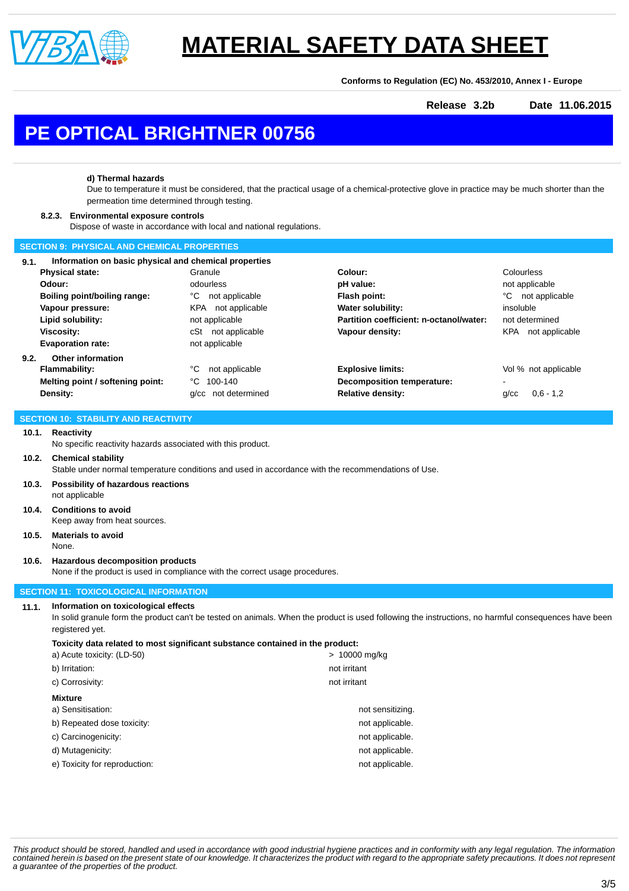

**Conforms to Regulation (EC) No. 453/2010, Annex I - Europe**

**Release 3.2b Date 11.06.2015**

## **PE OPTICAL BRIGHTNER 00756**

### **d) Thermal hazards**

Due to temperature it must be considered, that the practical usage of a chemical-protective glove in practice may be much shorter than the permeation time determined through testing.

### **8.2.3. Environmental exposure controls**

Dispose of waste in accordance with local and national regulations.

### **SECTION 9: PHYSICAL AND CHEMICAL PROPERTIES**

| 9.1. | Information on basic physical and chemical properties |                              |                                         |                           |  |
|------|-------------------------------------------------------|------------------------------|-----------------------------------------|---------------------------|--|
|      | <b>Physical state:</b>                                | Granule                      | Colour:                                 | Colourless                |  |
|      | Odour:                                                | odourless                    | pH value:                               | not applicable            |  |
|      | Boiling point/boiling range:                          | °C<br>not applicable         | Flash point:                            | °C<br>not applicable      |  |
|      | Vapour pressure:                                      | <b>KPA</b><br>not applicable | <b>Water solubility:</b>                | insoluble                 |  |
|      | Lipid solubility:                                     | not applicable               | Partition coefficient: n-octanol/water: | not determined            |  |
|      | Viscosity:                                            | not applicable<br>cSt        | Vapour density:                         | KPA<br>not applicable     |  |
|      | <b>Evaporation rate:</b>                              | not applicable               |                                         |                           |  |
| 9.2. | Other information                                     |                              |                                         |                           |  |
|      | <b>Flammability:</b>                                  | °C<br>not applicable         | <b>Explosive limits:</b>                | Vol % not applicable      |  |
|      | Melting point / softening point:                      | °C<br>100-140                | Decomposition temperature:              | ٠                         |  |
|      | Density:                                              | g/cc not determined          | <b>Relative density:</b>                | $0.6 - 1.2$<br>$q$ / $cc$ |  |

#### **SECTION 10: STABILITY AND REACTIVITY**

### **10.1. Reactivity**

No specific reactivity hazards associated with this product.

### **10.2. Chemical stability**

Stable under normal temperature conditions and used in accordance with the recommendations of Use.

- **10.3. Possibility of hazardous reactions** not applicable
- **10.4. Conditions to avoid** Keep away from heat sources.
- **10.5. Materials to avoid**

### None.

**10.6. Hazardous decomposition products**

None if the product is used in compliance with the correct usage procedures.

### **SECTION 11: TOXICOLOGICAL INFORMATION**

### **11.1. Information on toxicological effects**

In solid granule form the product can't be tested on animals. When the product is used following the instructions, no harmful consequences have been registered yet.

### **Toxicity data related to most significant substance contained in the product:**

| > 10000 mg/kg    |  |  |  |  |
|------------------|--|--|--|--|
| not irritant     |  |  |  |  |
| not irritant     |  |  |  |  |
| <b>Mixture</b>   |  |  |  |  |
| not sensitizing. |  |  |  |  |
| not applicable.  |  |  |  |  |
| not applicable.  |  |  |  |  |
| not applicable.  |  |  |  |  |
| not applicable.  |  |  |  |  |
|                  |  |  |  |  |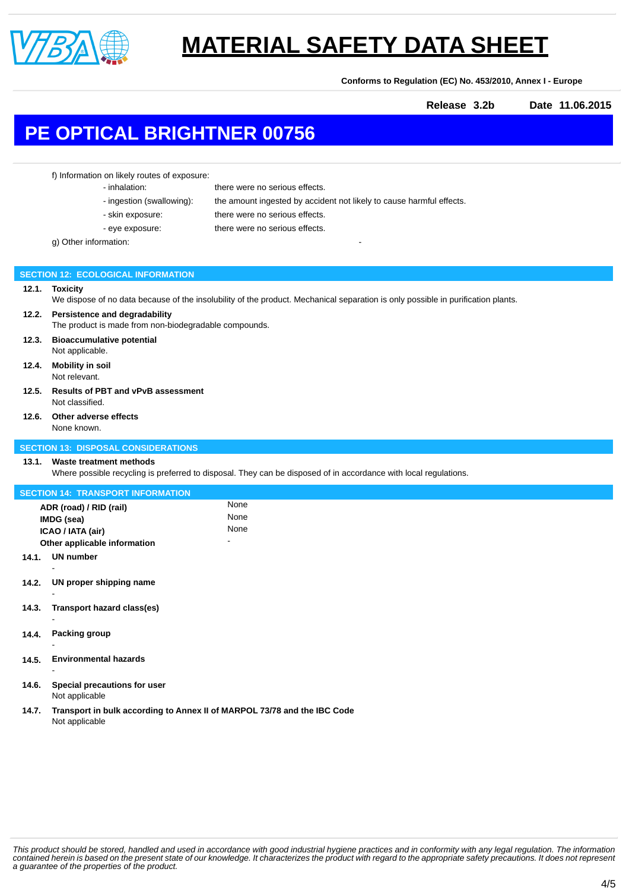

**Conforms to Regulation (EC) No. 453/2010, Annex I - Europe**

**Release 3.2b Date 11.06.2015**

### **PE OPTICAL BRIGHTNER 00756**

f) Information on likely routes of exposure:

- inhalation: there were no serious effects.

- ingestion (swallowing): the amount ingested by accident not likely to cause harmful effects.
- skin exposure: there were no serious effects.
- 

- eye exposure: there were no serious effects.

g) Other information:

### **SECTION 12: ECOLOGICAL INFORMATION**

### **12.1. Toxicity**

We dispose of no data because of the insolubility of the product. Mechanical separation is only possible in purification plants.

### **12.2. Persistence and degradability** The product is made from non-biodegradable compounds.

- **12.3. Bioaccumulative potential**
- Not applicable.
- **12.4. Mobility in soil** Not relevant.
- **12.5. Results of PBT and vPvB assessment** Not classified.
- **12.6. Other adverse effects** None known.

### **SECTION 13: DISPOSAL CONSIDERATIONS**

### **13.1. Waste treatment methods**

Where possible recycling is preferred to disposal. They can be disposed of in accordance with local regulations.

| <b>SECTION 14: TRANSPORT INFORMATION</b> |                                                                          |      |  |  |  |  |
|------------------------------------------|--------------------------------------------------------------------------|------|--|--|--|--|
|                                          | ADR (road) / RID (rail)                                                  | None |  |  |  |  |
|                                          | IMDG (sea)                                                               | None |  |  |  |  |
|                                          | ICAO / IATA (air)                                                        | None |  |  |  |  |
| Other applicable information             |                                                                          |      |  |  |  |  |
| 14.1.                                    | <b>UN number</b>                                                         |      |  |  |  |  |
|                                          |                                                                          |      |  |  |  |  |
| 14.2.                                    | UN proper shipping name                                                  |      |  |  |  |  |
|                                          |                                                                          |      |  |  |  |  |
| 14.3.                                    | Transport hazard class(es)                                               |      |  |  |  |  |
|                                          |                                                                          |      |  |  |  |  |
| 14.4.                                    | <b>Packing group</b>                                                     |      |  |  |  |  |
|                                          |                                                                          |      |  |  |  |  |
| 14.5.                                    | <b>Environmental hazards</b>                                             |      |  |  |  |  |
|                                          |                                                                          |      |  |  |  |  |
| 14.6.                                    | Special precautions for user                                             |      |  |  |  |  |
|                                          | Not applicable                                                           |      |  |  |  |  |
| 14.7.                                    | Transport in bulk according to Annex II of MARPOL 73/78 and the IBC Code |      |  |  |  |  |
|                                          | Not applicable                                                           |      |  |  |  |  |